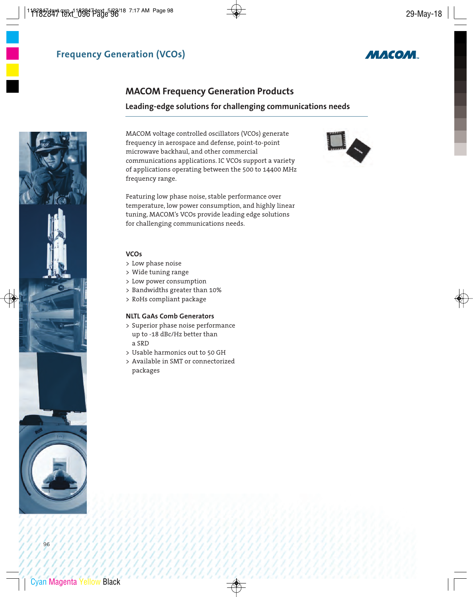

## **MACOM Frequency Generation Products**

### **Leading-edge solutions for challenging communications needs**

MACOM voltage controlled oscillators (VCOs) generate frequency in aerospace and defense, point-to-point microwave backhaul, and other commercial communications applications. IC VCOs support a variety of applications operating between the 500 to 14400 MHz frequency range.

Featuring low phase noise, stable performance over temperature, low power consumption, and highly linear tuning, MACOM's VCOs provide leading edge solutions for challenging communications needs.



### > Low phase noise

- > Wide tuning range
- > Low power consumption
- > Bandwidths greater than 10%
- > RoHs compliant package

#### **NLTL GaAs Comb Generators**

- > Superior phase noise performance up to -18 dBc/Hz better than a SRD
- > Usable harmonics out to 50 GH
- > Available in SMT or connectorized packages